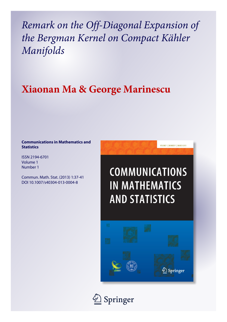*Remark on the Off-Diagonal Expansion of the Bergman Kernel on Compact Kähler Manifolds*

# **Xiaonan Ma & George Marinescu**

### **Communications in Mathematics and Statistics**

ISSN 2194-6701 Volume 1 Number 1

Commun. Math. Stat. (2013) 1:37-41 DOI 10.1007/s40304-013-0004-8



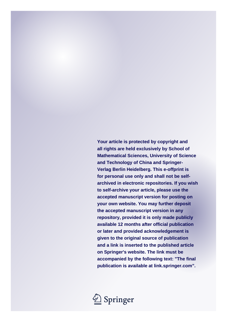**Your article is protected by copyright and all rights are held exclusively by School of Mathematical Sciences, University of Science and Technology of China and Springer-Verlag Berlin Heidelberg. This e-offprint is for personal use only and shall not be selfarchived in electronic repositories. If you wish to self-archive your article, please use the accepted manuscript version for posting on your own website. You may further deposit the accepted manuscript version in any repository, provided it is only made publicly available 12 months after official publication or later and provided acknowledgement is given to the original source of publication and a link is inserted to the published article on Springer's website. The link must be accompanied by the following text: "The final publication is available at link.springer.com".**

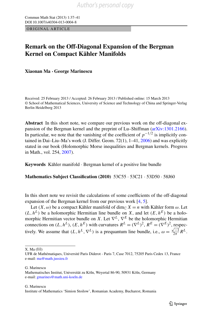Commun Math Stat (2013) 1:37–41 DOI 10.1007/s40304-013-0004-8

ORIGINAL ARTICLE

## **Remark on the Off-Diagonal Expansion of the Bergman Kernel on Compact Kähler Manifolds**

**Xiaonan Ma · George Marinescu**

Received: 25 February 2013 / Accepted: 26 February 2013 / Published online: 15 March 2013 © School of Mathematical Sciences, University of Science and Technology of China and Springer-Verlag Berlin Heidelberg 2013

**Abstract** In this short note, we compare our previous work on the off-diagonal expansion of the Bergman kernel and the preprint of Lu–Shiffman [\(arXiv:1301.2166\)](http://arxiv.org/abs/arXiv:1301.2166). In particular, we note that the vanishing of the coefficient of  $p^{-1/2}$  is implicitly contained in Dai–Liu–Ma's work (J. Differ. Geom. 72(1), 1–41, [2006](#page-6-0)) and was explicitly stated in our book (Holomorphic Morse inequalities and Bergman kernels. Progress in Math., vol. 254, [2007\)](#page-6-1).

**Keywords** Kähler manifold · Bergman kernel of a positive line bundle

**Mathematics Subject Classification (2010)** 53C55 · 53C21 · 53D50 · 58J60

In this short note we revisit the calculations of some coefficients of the off-diagonal expansion of the Bergman kernel from our previous work [\[4](#page-6-1), [5](#page-6-2)].

Let  $(X, \omega)$  be a compact Kähler manifold of dim<sub>C</sub>  $X = n$  with Kähler form  $\omega$ . Let  $(L, h^L)$  be a holomorphic Hermitian line bundle on *X*, and let  $(E, h^E)$  be a holomorphic Hermitian vector bundle on *X*. Let ∇*L*, ∇*<sup>E</sup>* be the holomorphic Hermitian connections on  $(L, h^L)$ ,  $(E, h^E)$  with curvatures  $R^L = (\nabla^L)^2$ ,  $R^E = (\nabla^E)^2$ , respectively. We assume that  $(L, h^L, \nabla^L)$  is a prequantum line bundle, i.e.,  $\omega = \frac{\sqrt{-1}}{2\pi} R^L$ .

 $X. Ma (\boxtimes)$ 

G. Marinescu

G. Marinescu

Institute of Mathematics 'Simion Stoilow', Romanian Academy, Bucharest, Romania

UFR de Mathématiques, Université Paris Diderot - Paris 7, Case 7012, 75205 Paris Cedex 13, France e-mail: [ma@math.jussieu.fr](mailto:ma@math.jussieu.fr)

Mathematisches Institut, Universität zu Köln, Weyertal 86-90, 50931 Köln, Germany e-mail: [gmarines@math.uni-koeln.de](mailto:gmarines@math.uni-koeln.de)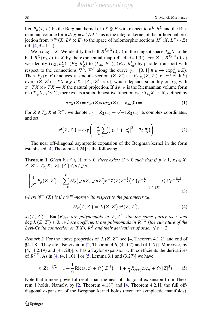Let  $P_p(x, x')$  be the Bergman kernel of  $L^p \otimes E$  with respect to  $h^L, h^E$  and the Riemannian volume form  $dv_X = \omega^n/n!$ . This is the integral kernel of the orthogonal projection from  $\mathcal{C}^{\infty}(X, L^p \otimes E)$  to the space of holomorphic sections  $H^0(X, L^p \otimes E)$ (cf. [\[4](#page-6-1), §4.1.1]).

We fix  $x_0 \in X$ . We identify the ball  $B^{T_{x_0}X}(0, \varepsilon)$  in the tangent space  $T_{x_0}X$  to the ball  $B^X(x_0, \varepsilon)$  in *X* by the exponential map (cf. [[4,](#page-6-1) §4.1.3]). For  $Z \in B^{T_{x_0}X}(0, \varepsilon)$ we identify  $(L_Z, h_Z^L)$ ,  $(E_Z, h_Z^E)$  to  $(L_{x_0}, h_{x_0}^L)$ ,  $(E_{x_0}, h_{x_0}^E)$  by parallel transport with respect to the connections  $\nabla^L$ ,  $\nabla^E$  along the curve  $\gamma_Z : [0, 1] \ni u \to \exp_{x_0}^X (uZ)$ . Then  $P_p(x, x')$  induces a smooth section  $(Z, Z') \mapsto P_{p,x_0}(Z, Z')$  of  $\pi^* \text{End}(E)$ over  $\{(Z, Z') \in TX \times_X TX : |Z|, |Z'| < \varepsilon\}$ , which depends smoothly on  $x_0$ , with  $\pi$ : *TX* ×*x TX* → *X* the natural projection. If  $dv_{TX}$  is the Riemannian volume form on  $(T_{x_0}X, g^{T_{x_0}X})$ , there exists a smooth positive function  $\kappa_{x_0}: T_{x_0}X \to \mathbb{R}$ , defined by

<span id="page-3-1"></span>
$$
dv_X(Z) = \kappa_{x_0}(Z) dv_{TX}(Z), \quad \kappa_{x_0}(0) = 1.
$$
 (1)

<span id="page-3-0"></span>For  $Z \in T_{x_0} X \cong \mathbb{R}^{2n}$ , we denote  $z_j = Z_{2j-1} + \sqrt{-1}Z_{2j-1}$  its complex coordinates, and set

$$
\mathscr{P}(Z, Z') = \exp\left(-\frac{\pi}{2} \sum_{i=1}^{n} (|z_i|^2 + |z'_i|^2 - 2z_i \overline{z}'_i) \right).
$$
 (2)

The near off-diagonal asymptotic expansion of the Bergman kernel in the form established [[4,](#page-6-1) Theorem 4.1.24] is the following.

**Theorem 1** *Given*  $k, m' \in \mathbb{N}, \sigma > 0$ , *there exists*  $C > 0$  *such that if*  $p \ge 1, x_0 \in X$ , *Z*,  $Z' \in T_{x_0}X$ ,  $|Z|, |Z'| \le \sigma/\sqrt{p}$ ,

$$
\left|\frac{1}{p^n}P_p(Z, Z') - \sum_{r=0}^k \mathscr{F}_r(\sqrt{p}Z, \sqrt{p}Z')\kappa^{-\frac{1}{2}}(Z)\kappa^{-\frac{1}{2}}(Z')p^{-\frac{r}{2}}\right|_{\mathscr{C}^{m'}(X)} \leq C p^{-\frac{k+1}{2}}.
$$
\n(3)

where  $\mathscr{C}^{m'}(X)$  is the  $\mathscr{C}^{m'}$ -norm with respect to the parameter  $x_0,$ 

<span id="page-3-3"></span><span id="page-3-2"></span>
$$
\mathscr{F}_r(Z, Z') = J_r(Z, Z') \mathscr{P}(Z, Z'),\tag{4}
$$

*J<sub>r</sub>*(*Z*, *Z*<sup> $′$ </sup>) ∈ End(*E*)<sub>*x*0</sub> *are polynomials in Z*, *Z*<sup> $′$ </sup> *with the same parity as r and*  $\deg J_r(Z, Z') \leqslant 3r$ , whose coefficients are polynomials in  $R^{TX}$  (the curvature of the *Levi-Civita connection on*  $TX$ ),  $R^E$  *and their derivatives of order*  $\le r - 2$ .

*Remark* 2 For the above properties of  $J_r(Z, Z')$  see [\[4](#page-6-1), Theorem 4.1.21 and end of §4.1.8]. They are also given in [[2,](#page-6-0) Theorem 4.6, (4.107) and (4.117)]. Moreover, by [\[4](#page-6-1), (1.2.19) and (4.1.28)], *κ* has a Taylor expansion with coefficients the derivatives of  $R^{TX}$ . As in [\[4](#page-6-1), (4.1.101)] or [[5,](#page-6-2) Lemma 3.1 and (3.27)] we have

$$
\kappa(Z)^{-1/2} = 1 + \frac{1}{6} \text{Ric}(z, \overline{z}) + \mathcal{O}(|Z|^3) = 1 + \frac{1}{3} R_{\ell \overline{k} k \overline{q}} z_{\ell} \overline{z}_q + \mathcal{O}(|Z|^3). \tag{5}
$$

Note that a more powerful result than the near-off diagonal expansion from Theorem [1](#page-3-0) holds. Namely, by [\[2](#page-6-0), Theorem 4*.*18 ] and [[4,](#page-6-1) Theorem 4.2.1], the full offdiagonal expansion of the Bergman kernel holds (even for symplectic manifolds),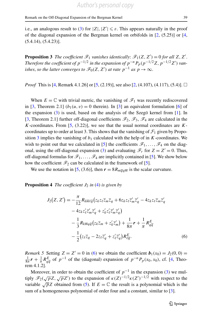<span id="page-4-0"></span>i.e., an analogous result to [\(3](#page-3-1)) for  $|Z|, |Z'| \le \varepsilon$ . This appears naturally in the proof of the diagonal expansion of the Bergman kernel on orbifolds in  $[2, (5.25)]$  $[2, (5.25)]$  or  $[4, 6.25]$  $[4, 6.25]$ (5.4.14), (5.4.23)].

**Proposition 3** *The coefficient*  $\mathcal{F}_1$  *vanishes identically:*  $\mathcal{F}_1(Z, Z') = 0$  *for all*  $Z, Z'$ . *Therefore the coefficient of*  $p^{-1/2}$  *in the expansion of*  $p^{-n}P_p(p^{-1/2}Z, p^{-1/2}Z')$  *vanishes, so the latter converges to*  $\mathscr{F}_0(Z, Z')$  *at rate*  $p^{-1}$  *as*  $p \to \infty$ .

*Proof* This is [\[4,](#page-6-1) Remark 4.1.26] or [\[5](#page-6-2), (2.19)], see also [[2,](#page-6-0) (4.107), (4.117), (5.4)].  $\Box$ 

When  $E = \mathbb{C}$  with trivial metric, the vanishing of  $\mathscr{F}_1$  was recently rediscovered in [\[3](#page-6-3), Theorem 2.1]  $(b_1(u, v) = 0$  therein). In [3] an equivalent formulation [\[6](#page-6-4)] of the expansion  $(3)$  $(3)$  is used, based on the analysis of the Szegö kernel from [[1\]](#page-6-5). In [\[3](#page-6-3), Theorem 2.1] further off-diagonal coefficients  $\mathscr{F}_2$ ,  $\mathscr{F}_3$ ,  $\mathscr{F}_4$  are calculated in the *K*-coordinates. From [\[5](#page-6-2), (3.22)], we see that the usual normal coordinates are *K*coordinates up to order at least 3. This shows that the vanishing of  $\mathcal{F}_1$  given by Propo-sition [3](#page-4-0) implies the vanishing of  $b_1$  calculated with the help of in *K*-coordinates. We wish to point out that we calculated in [\[5](#page-6-2)] the coefficients  $\mathscr{F}_1,\ldots,\mathscr{F}_4$  on the diag-onal, using the off-diagonal expansion ([3\)](#page-3-1) and evaluating  $\mathcal{F}_r$  for  $Z = Z' = 0$ . Thus, off-diagonal formulas for  $\mathscr{F}_1, \ldots, \mathscr{F}_4$  are implicitly contained in [[5\]](#page-6-2). We show below how the coefficient  $\mathcal{F}_2$  can be calculated in the framework of [\[5\]](#page-6-2).

<span id="page-4-2"></span>We use the notation in [\[5](#page-6-2), (3.6)], then  $r = 8R_{m\overline{q}q\overline{m}}$  is the scalar curvature.

**Proposition 4** *The coefficient*  $J_2$  *in* ([4\)](#page-3-2) *is given by* 

<span id="page-4-1"></span>
$$
J_2(Z, Z') = -\frac{\pi}{12} R_{k\overline{m}\ell\overline{q}} (z_k z_\ell \overline{z}_m \overline{z}_q + 6 z_k z_\ell \overline{z}'_m \overline{z}'_q - 4 z_k z_\ell \overline{z}_m \overline{z}'_q - 4 z_k z'_\ell \overline{z}'_m \overline{z}'_q + z'_k z'_\ell \overline{z}'_m \overline{z}'_q) - \frac{1}{3} R_{k\overline{m}q\overline{q}} (z_k \overline{z}_m + z'_k \overline{z}'_m) + \frac{1}{8\pi} \mathbf{r} + \frac{1}{\pi} R_{q\overline{q}}^E - \frac{1}{2} (z_\ell \overline{z}_q - 2 z_\ell \overline{z}'_q + z'_\ell \overline{z}'_q) R_{\ell\overline{q}}^E.
$$
 (6)

*Remark 5* Setting  $Z = Z' = 0$  in ([6\)](#page-4-1) we obtain the coefficient  $b_1(x_0) = J_2(0, 0) =$  $\frac{1}{8\pi}$ *r* +  $\frac{1}{\pi}$   $R_{q\overline{q}}^{E}$  of *p*<sup>−1</sup> of the (diagonal) expansion of  $p^{-n}P_p(x_0, x_0)$ , cf. [[4,](#page-6-1) Theorem 4.1.2].

Moreover, in order to obtain the coefficient of  $p^{-1}$  in the expansion ([3\)](#page-3-1) we multiply  $\mathscr{F}_2(\sqrt{p}Z, \sqrt{p}Z')$  to the expansion of  $\kappa(Z)^{-1/2}\kappa(Z')^{-1/2}$  with respect to the variable  $\sqrt{p}Z$  obtained from [\(5](#page-3-3)). If  $E = \mathbb{C}$  the result is a polynomial which is the sum of a homogeneous polynomial of order four and a constant, similar to [\[3](#page-6-3)].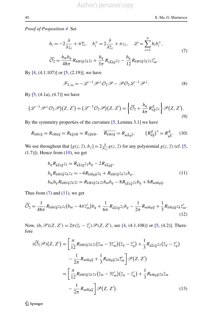#### *Proof of Proposition [4](#page-4-2)* Set

<span id="page-5-1"></span>
$$
b_i = -2\frac{\partial}{\partial z_i} + \pi \overline{z}_i, \quad b_i^+ = 2\frac{\partial}{\partial \overline{z}_i} + \pi z_i, \quad \mathscr{L} = \sum_{i=1}^n b_i b_i^+,
$$
  

$$
\widetilde{O}_2 = \frac{b_m b_q}{48\pi} R_{k\overline{m}\ell\overline{q}} z_k z_l + \frac{b_q}{3\pi} R_{\ell\overline{k}k\overline{q}} z_\ell - \frac{b_q}{12} R_{k\overline{m}\ell\overline{q}} z_k z_\ell \overline{z}'_m.
$$
 (7)

By  $[4, (4.1.107)]$  $[4, (4.1.107)]$  or  $[5, (2.19)]$  $[5, (2.19)]$  $[5, (2.19)]$ , we have

<span id="page-5-2"></span><span id="page-5-0"></span>
$$
\mathscr{F}_{2,x_0} = -\mathscr{L}^{-1}\mathscr{P}^\perp\mathcal{O}_2\mathscr{P} - \mathscr{P}\mathcal{O}_2\mathscr{L}^{-1}\mathscr{P}^\perp.
$$
\n(8)

By  $[5, (4.1a), (4.7)]$  $[5, (4.1a), (4.7)]$  we have

$$
(\mathcal{L}^{-1}\mathcal{P}^{\perp}\mathcal{O}_{2}\mathcal{P})(Z,Z') = (\mathcal{L}^{-1}\mathcal{O}_{2}\mathcal{P})(Z,Z') = \left\{\widetilde{\mathcal{O}_{2}} + \frac{b_{q}}{4\pi}R_{\ell\overline{q}}^{E}z_{\ell}\right\}\mathcal{P}(Z,Z').
$$
\n(9)

By the symmetry properties of the curvature [[5,](#page-6-2) Lemma 3.1] we have

$$
R_{k\overline{m}\ell\overline{q}} = R_{\ell\overline{m}k\overline{q}} = R_{k\overline{q}\ell\overline{m}} = R_{\ell\overline{q}k\overline{m}}, \quad \overline{R_{k\overline{m}\ell\overline{q}}} = R_{m\overline{k}q\overline{\ell}}, \qquad \left(R_{k\overline{q}}^E\right)^* = R_{q\overline{k}}^E. \tag{10}
$$

We use throughout that  $[g(z, \overline{z}), b_j] = 2 \frac{\partial}{\partial z_j} g(z, \overline{z})$  for any polynomial  $g(z, \overline{z})$  (cf. [\[5](#page-6-2),  $(1.7)$ ]). Hence from  $(10)$  $(10)$ , we get

$$
b_q R_{k\overline{k}\ell\overline{q}} z_\ell = R_{k\overline{k}\ell\overline{q}} z_\ell b_q - 2R_{k\overline{k}q\overline{q}},
$$
  
\n
$$
b_q R_{k\overline{m}\ell\overline{q}} z_k z_\ell = -4R_{k\overline{m}q\overline{q}} z_k + R_{k\overline{m}\ell\overline{q}} z_k z_\ell b_q,
$$
  
\n
$$
b_m b_q R_{k\overline{m}\ell\overline{q}} z_k z_l = R_{k\overline{m}\ell\overline{q}} z_k z_l b_m b_q - 8R_{k\overline{k}\ell\overline{q}} z_\ell b_q + 8R_{m\overline{m}q\overline{q}}.
$$
\n(11)

Thus from  $(7)$  $(7)$  and  $(11)$  $(11)$ , we get

<span id="page-5-3"></span>
$$
\widetilde{O}_2 = \frac{1}{48\pi} R_{k\overline{m}\ell\overline{q}} z_k z_l (b_m - 4\pi \overline{z}'_m) b_q + \frac{1}{6\pi} R_{k\overline{k}\ell\overline{q}} z_\ell b_q - \frac{1}{2\pi} R_{m\overline{m}q\overline{q}} + \frac{1}{3} R_{k\overline{m}q\overline{q}} z_k \overline{z}'_m.
$$
\n(12)

Now,  $(b_i \mathcal{P})(Z, Z') = 2\pi (\bar{z}_i - \bar{z}'_i) \mathcal{P}(Z, Z')$ , see [[4,](#page-6-1) (4.1.108)] or [[5,](#page-6-2) (4.2)]. Therefore

$$
(\widetilde{O}_2 \mathscr{P})(Z, Z') = \left[\frac{\pi}{12} R_{k\overline{m}\ell\overline{q}} z_k z_l (\overline{z}_m - 3\overline{z}'_m)(\overline{z}_q - \overline{z}'_q) + \frac{1}{3} R_{k\overline{k}\ell\overline{q}} z_\ell (\overline{z}_q - \overline{z}'_q) - \frac{1}{2\pi} R_{m\overline{m}q\overline{q}} + \frac{1}{3} R_{k\overline{m}q\overline{q}} z_k \overline{z}'_m \right] \mathscr{P}(Z, Z')
$$
  

$$
= \left[\frac{\pi}{12} R_{k\overline{m}\ell\overline{q}} z_k z_\ell (\overline{z}_m - 3\overline{z}'_m)(\overline{z}_q - \overline{z}'_q) + \frac{1}{3} R_{k\overline{m}q\overline{q}} z_k \overline{z}_m - \frac{1}{2\pi} R_{m\overline{m}q\overline{q}} \right] \mathscr{P}(Z, Z').
$$
 (13)

**◯** Springer